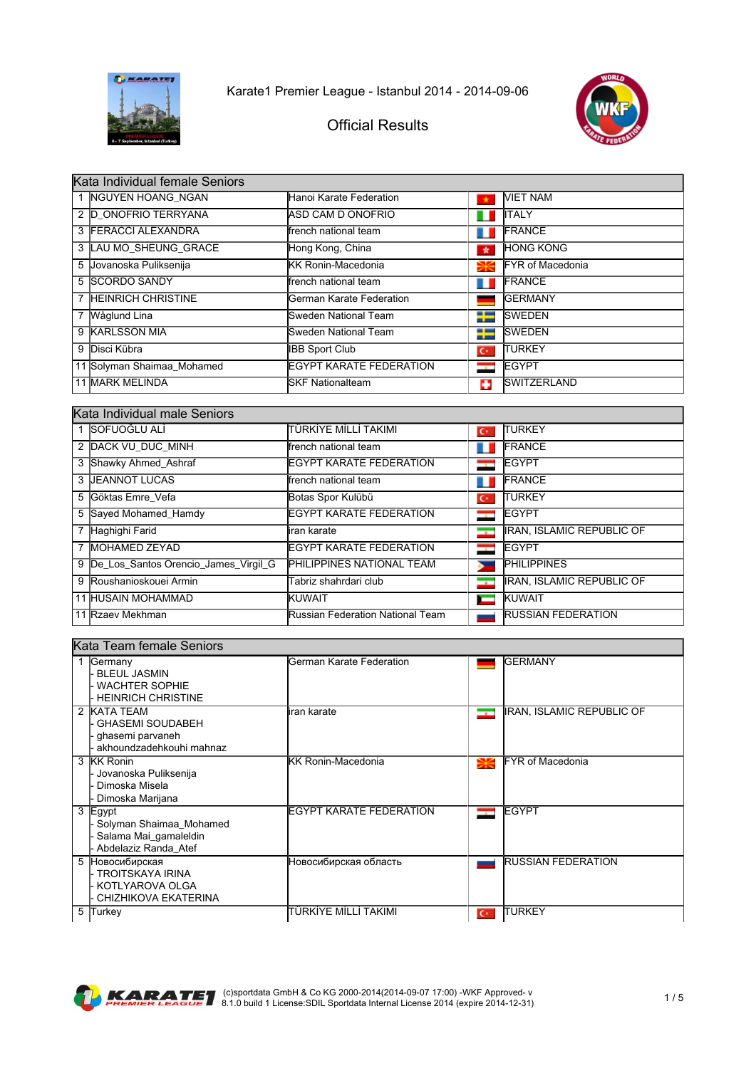



| Kata Individual female Seniors |                                 |                          |                         |  |
|--------------------------------|---------------------------------|--------------------------|-------------------------|--|
| 1 NGUYEN HOANG NGAN            | Hanoi Karate Federation         |                          | <b>NIET NAM</b>         |  |
| 2 D ONOFRIO TERRYANA           | IASD CAM D ONOFRIO              |                          | <b>I</b> ITALY          |  |
| 3 FERACCI ALEXANDRA            | lfrench national team           | ш                        | <b>FRANCE</b>           |  |
| 3 LAU MO SHEUNG GRACE          | Hong Kong, China                | $\star$                  | <b>HONG KONG</b>        |  |
| 5 Jovanoska Puliksenija        | <b>IKK Ronin-Macedonia</b>      | Ж                        | <b>FYR of Macedonia</b> |  |
| 5 SCORDO SANDY                 | lfrench national team           |                          | <b>FRANCE</b>           |  |
| 7 HEINRICH CHRISTINE           | German Karate Federation        |                          | <b>IGERMANY</b>         |  |
| 7 Wåglund Lina                 | Sweden National Team            | ╄                        | <b>SWEDEN</b>           |  |
| 9 KARLSSON MIA                 | Sweden National Team            | ╄                        | <b>ISWEDEN</b>          |  |
| 9 Disci Kübra                  | <b>IBB Sport Club</b>           | $\mathbf{C}^*$           | ITURKEY                 |  |
| 11 Solyman Shaimaa Mohamed     | <b>IEGYPT KARATE FEDERATION</b> | $\overline{\phantom{a}}$ | <b>EGYPT</b>            |  |
| 11 MARK MELINDA                | <b>SKF Nationalteam</b>         | п                        | <b>SWITZERLAND</b>      |  |

| Kata Individual male Seniors           |                                   |                          |                                  |  |  |
|----------------------------------------|-----------------------------------|--------------------------|----------------------------------|--|--|
| lSOFUOĞLU ALİ                          | TÜRKİYE MİLLİ TAKIMI              | $\mathbf{C}^*$           | <b>TURKEY</b>                    |  |  |
| 2 DACK VU DUC MINH                     | lfrench national team             |                          | <b>FRANCE</b>                    |  |  |
| 3 Shawky Ahmed Ashraf                  | <b>IEGYPT KARATE FEDERATION</b>   |                          | <b>EGYPT</b>                     |  |  |
| 3 <b>JEANNOT LUCAS</b>                 | lfrench national team             |                          | <b>FRANCE</b>                    |  |  |
| 5 Göktas Emre Vefa                     | Botas Spor Kulübü                 | $\overline{C}$           | <b>ITURKEY</b>                   |  |  |
| 5 Sayed Mohamed Hamdy                  | <b>IEGYPT KARATE FEDERATION</b>   | --                       | <b>IEGYPT</b>                    |  |  |
| 7 Haghighi Farid                       | iran karate                       | ⊸                        | <b>IRAN, ISLAMIC REPUBLIC OF</b> |  |  |
| 7 MOHAMED ZEYAD                        | <b>IEGYPT KARATE FEDERATION</b>   | $\mathbf{r}$             | <b>IEGYPT</b>                    |  |  |
| 9 De Los Santos Orencio James Virgil G | <b>PHILIPPINES NATIONAL TEAM</b>  |                          | <b>PHILIPPINES</b>               |  |  |
| 9 Roushanioskouei Armin                | Tabriz shahrdari club             | $\overline{\phantom{a}}$ | <b>IRAN, ISLAMIC REPUBLIC OF</b> |  |  |
| <b>11 HUSAIN MOHAMMAD</b>              | <b>KUWAIT</b>                     |                          | KUWAIT                           |  |  |
| 11 Rzaev Mekhman                       | lRussian Federation National Team |                          | <b>RUSSIAN FEDERATION</b>        |  |  |

|   | Kata Team female Seniors                                                                     |                            |                |                                  |  |
|---|----------------------------------------------------------------------------------------------|----------------------------|----------------|----------------------------------|--|
|   | Germany<br><b>BLEUL JASMIN</b><br><b>WACHTER SOPHIE</b><br><b>HEINRICH CHRISTINE</b>         | German Karate Federation   |                | <b>IGERMANY</b>                  |  |
|   | 2 KATA TEAM<br><b>GHASEMI SOUDABEH</b><br>ghasemi parvaneh<br>akhoundzadehkouhi mahnaz       | liran karate               | ⊸              | <b>IRAN, ISLAMIC REPUBLIC OF</b> |  |
| 3 | <b>KK Ronin</b><br>Jovanoska Puliksenija<br>Dimoska Misela<br>Dimoska Marijana               | <b>IKK Ronin-Macedonia</b> | ₩              | <b>IFYR of Macedonia</b>         |  |
|   | 3 Egypt<br>Solyman Shaimaa_Mohamed<br>Salama Mai_gamaleldin<br>Abdelaziz Randa Atef          | EGYPT KARATE FEDERATION    |                | <b>EGYPT</b>                     |  |
| 5 | <b>Новосибирская</b><br><b>TROITSKAYA IRINA</b><br>· KOTLYAROVA OLGA<br>CHIZHIKOVA EKATERINA | Новосибирская область      |                | <b>RUSSIAN FEDERATION</b>        |  |
| 5 | Turkey                                                                                       | TÜRKİYE MİLLİ TAKIMI       | $\mathsf{C}^*$ | <b>TURKEY</b>                    |  |

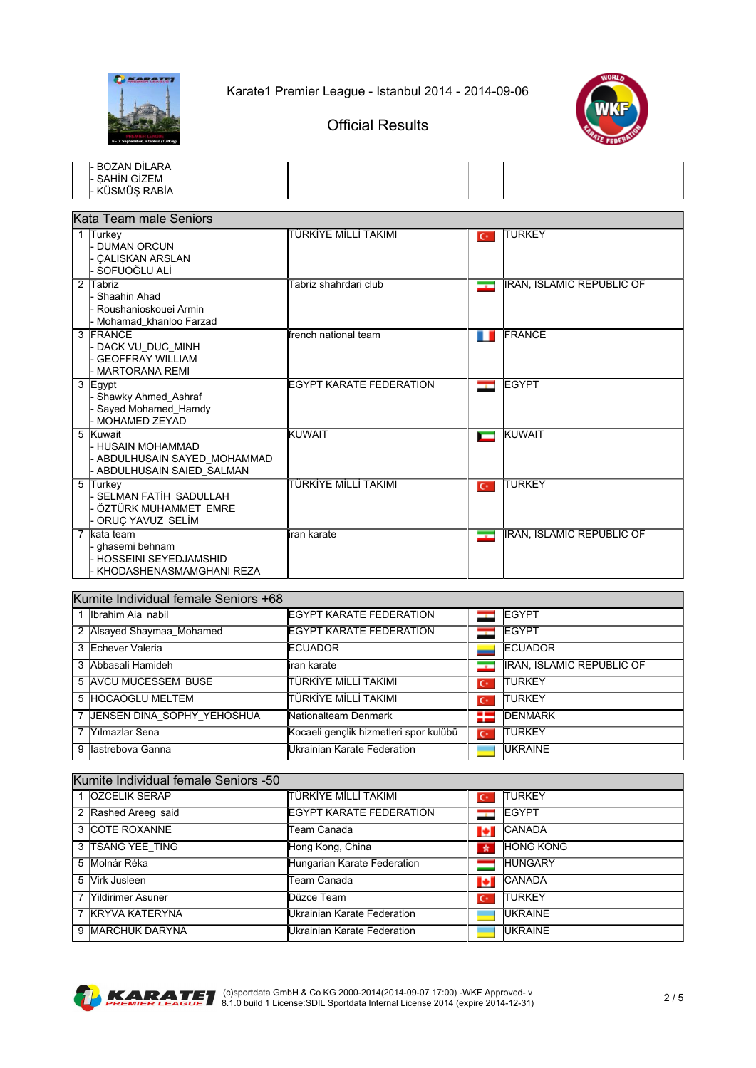

Official Results



| <b>BOZAN DİLARA</b><br><b>SAHİN GİZEM</b><br>KÜSMÜS RABİA                               |                                |                          |                                  |  |  |  |
|-----------------------------------------------------------------------------------------|--------------------------------|--------------------------|----------------------------------|--|--|--|
| Kata Team male Seniors                                                                  |                                |                          |                                  |  |  |  |
| 1 Turkey<br><b>DUMAN ORCUN</b><br><b>CALISKAN ARSLAN</b><br>SOFUOĞLU ALİ                | TÜRKİYE MİLLİ TAKIMI           | $C^*$                    | ITURKEY                          |  |  |  |
| 2 Tabriz<br>Shaahin Ahad<br>Roushanioskouei Armin<br>Mohamad_khanloo Farzad             | Tabriz shahrdari club          | $\overline{\phantom{a}}$ | <b>IRAN, ISLAMIC REPUBLIC OF</b> |  |  |  |
| 3 FRANCE<br>DACK VU DUC MINH<br><b>GEOFFRAY WILLIAM</b><br><b>MARTORANA REMI</b>        | ffrench national team          | ш                        | <b>FRANCE</b>                    |  |  |  |
| 3 Egypt<br>Shawky Ahmed_Ashraf<br>Sayed Mohamed_Hamdy<br>MOHAMED ZEYAD                  | <b>EGYPT KARATE FEDERATION</b> | --                       | <b>EGYPT</b>                     |  |  |  |
| 5 Kuwait<br>- HUSAIN MOHAMMAD<br>ABDULHUSAIN SAYED MOHAMMAD<br>ABDULHUSAIN SAIED SALMAN | <b>KUWAIT</b>                  | $\overline{\phantom{a}}$ | KUWAIT                           |  |  |  |
| 5<br>Turkey<br>SELMAN FATİH_SADULLAH<br>ÖZTÜRK MUHAMMET_EMRE<br>ORUÇ YAVUZ_SELİM        | TÜRKİYE MİLLİ TAKIMI           | $C^*$                    | <b>TURKEY</b>                    |  |  |  |
| 7 kata team<br>ghasemi behnam<br>HOSSEINI SEYEDJAMSHID<br>KHODASHENASMAMGHANI REZA      | iran karate                    | <u>est</u>               | <b>IRAN, ISLAMIC REPUBLIC OF</b> |  |  |  |

| Kumite Individual female Seniors +68 |                              |                                        |                |                                  |
|--------------------------------------|------------------------------|----------------------------------------|----------------|----------------------------------|
|                                      | 1 Ibrahim Aia nabil          | <b>IEGYPT KARATE FEDERATION</b>        |                | <b>EGYPT</b>                     |
|                                      | 2 Alsayed Shaymaa_Mohamed    | <b>IEGYPT KARATE FEDERATION</b>        |                | <b>EGYPT</b>                     |
|                                      | 3 Echever Valeria            | <b>IECUADOR</b>                        |                | <b>ECUADOR</b>                   |
|                                      | 3 Abbasali Hamideh           | liran karate                           | $\bullet$      | <b>IRAN, ISLAMIC REPUBLIC OF</b> |
|                                      | 5 AVCU MUCESSEM BUSE         | İTÜRKİYE MİLLİ TAKIMI                  | $\overline{C}$ | ITURKEY                          |
|                                      | 5 HOCAOGLU MELTEM            | İTÜRKİYE MİLLİ TAKIMI                  | ю              | ITURKEY                          |
|                                      | 7 JENSEN DINA SOPHY YEHOSHUA | Nationalteam Denmark                   | ₩              | <b>DENMARK</b>                   |
|                                      | 7 Yılmazlar Sena             | Kocaeli gençlik hizmetleri spor kulübü | $C^*$          | ITURKEY                          |
|                                      | 9 Ilastrebova Ganna          | Ukrainian Karate Federation            |                | <b>UKRAINE</b>                   |

| Kumite Individual female Seniors -50 |                                      |                |                  |  |
|--------------------------------------|--------------------------------------|----------------|------------------|--|
| 1 OZCELIK SERAP                      | İTÜRKİYE MİLLİ TAKIMI                | $\overline{C}$ | <b>TURKEY</b>    |  |
| 2 Rashed Areeg_said                  | <b>IEGYPT KARATE FEDERATION</b>      |                | <b>IEGYPT</b>    |  |
| 3 COTE ROXANNE                       | Team Canada                          | v.             | <b>CANADA</b>    |  |
| 3 TSANG YEE TING                     | Hong Kong, China                     | $\star$        | <b>HONG KONG</b> |  |
| 5 Molnár Réka                        | Hungarian Karate Federation          |                | <b>HUNGARY</b>   |  |
| 5 Virk Jusleen                       | Team Canada                          | 1÷i            | <b>CANADA</b>    |  |
| 7 <i>Nildirimer Asuner</i>           | lDüzce Team                          | $\mathbf{C}^*$ | <b>TURKEY</b>    |  |
| 7 KRYVA KATERYNA                     | <b>I</b> Ukrainian Karate Federation |                | <b>IUKRAINE</b>  |  |
| 9 MARCHUK DARYNA                     | Ukrainian Karate Federation          |                | <b>IUKRAINE</b>  |  |



Kumite Individual female Seniors -50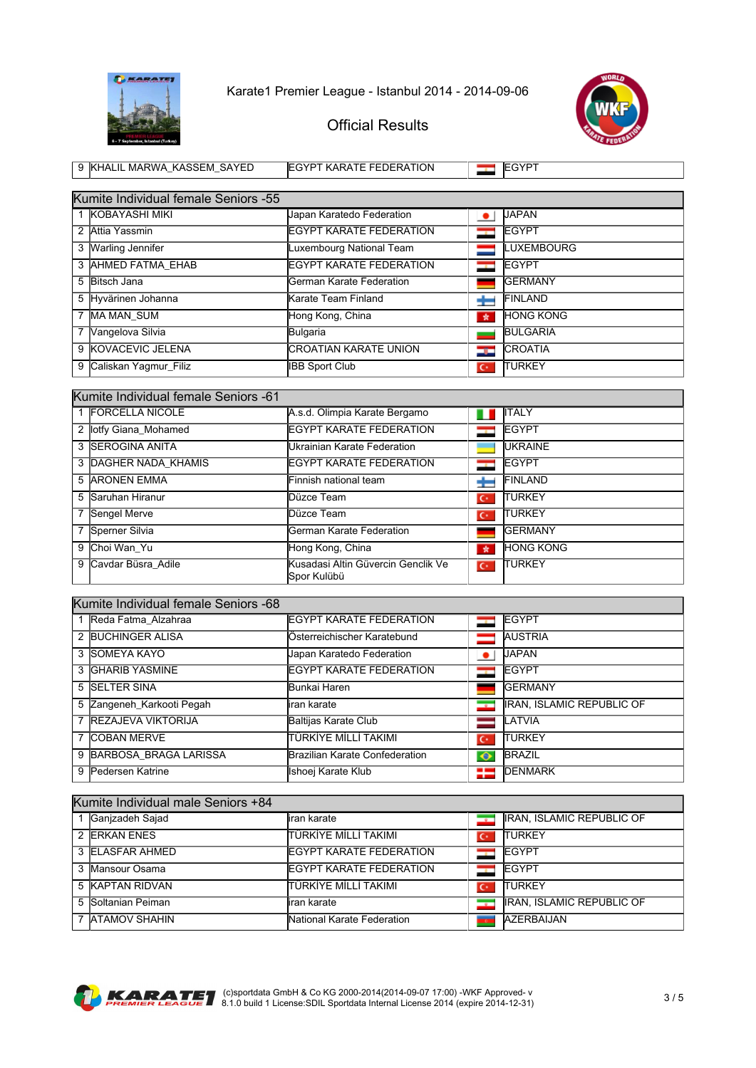



| 9 KHALIL MARWA KASSEM SAYED                           | <b>IEGYPT KARATE FEDERATION</b> | <b>IEGYPT</b>                |
|-------------------------------------------------------|---------------------------------|------------------------------|
|                                                       |                                 |                              |
| Kumite Individual female Seniors -55                  |                                 |                              |
| 1 KOBAYASHI MIKI                                      | Uapan Karatedo Federation       | <b>UAPAN</b>                 |
| $\Omega$ $\Omega$ $\Omega$ $\Omega$ $\Omega$ $\Omega$ | FOVOT KADATE EFBEBATION         | $I$ $\Gamma$ $\cap$ $\Gamma$ |

| 2 Attia Yassmin         | <b>IEGYPT KARATE FEDERATION</b> |                | <b>IEGYPT</b>     |
|-------------------------|---------------------------------|----------------|-------------------|
| 3 Warling Jennifer      | Luxembourg National Team        |                | <b>LUXEMBOURG</b> |
| 3 AHMED FATMA EHAB      | <b>IEGYPT KARATE FEDERATION</b> |                | <b>IEGYPT</b>     |
| 5 Bitsch Jana           | German Karate Federation        |                | <b>IGERMANY</b>   |
| 5 Hyvärinen Johanna     | Karate Team Finland             |                | FINLAND           |
| 7 MA MAN SUM            | Hong Kong, China                | $\star$        | <b>HONG KONG</b>  |
| 7 Vangelova Silvia      | Bulgaria                        |                | <b>BULGARIA</b>   |
| 9 KOVACEVIC JELENA      | <b>CROATIAN KARATE UNION</b>    | در             | <b>CROATIA</b>    |
| 9 Caliskan Yagmur Filiz | <b>IBB Sport Club</b>           | $\mathbf{C}^*$ | <b>ITURKEY</b>    |

| Kumite Individual female Seniors -61 |                                                             |                          |                  |  |
|--------------------------------------|-------------------------------------------------------------|--------------------------|------------------|--|
| 1 FORCELLA NICOLE                    | A.s.d. Olimpia Karate Bergamo                               | Ш                        | <b>ITALY</b>     |  |
| 2 lotfy Giana Mohamed                | <b>IEGYPT KARATE FEDERATION</b>                             |                          | <b>EGYPT</b>     |  |
| 3 <b>ISEROGINA ANITA</b>             | Ukrainian Karate Federation                                 |                          | <b>IUKRAINE</b>  |  |
| 3 DAGHER NADA KHAMIS                 | <b>IEGYPT KARATE FEDERATION</b>                             | $\overline{\phantom{a}}$ | <b>IEGYPT</b>    |  |
| 5 ARONEN EMMA                        | Finnish national team                                       |                          | <b>FINLAND</b>   |  |
| 5 Saruhan Hiranur                    | lDüzce Team                                                 | $\mathbf{C}^*$           | <b>ITURKEY</b>   |  |
| 7 Sengel Merve                       | lDüzce Team                                                 | $\mathbf{C}^*$           | <b>ITURKEY</b>   |  |
| 7 Sperner Silvia                     | German Karate Federation                                    |                          | <b>IGERMANY</b>  |  |
| 9 Choi Wan Yu                        | Hong Kong, China                                            | $\star$                  | <b>HONG KONG</b> |  |
| 9 Cavdar Büsra Adile                 | <b>l</b> Kusadasi Altin Güvercin Genclik Ve<br>lSpor Kulübü | $\overline{C}$           | <b>TURKEY</b>    |  |

|   | Kumite Individual female Seniors -68 |                                 |                          |                                  |  |
|---|--------------------------------------|---------------------------------|--------------------------|----------------------------------|--|
|   | 1 Reda Fatma Alzahraa                | <b>IEGYPT KARATE FEDERATION</b> |                          | <b>IEGYPT</b>                    |  |
|   | 2 BUCHINGER ALISA                    | Österreichischer Karatebund     |                          | <b>AUSTRIA</b>                   |  |
|   | 3 ISOMEYA KAYO                       | Japan Karatedo Federation       | ٠                        | <b>UAPAN</b>                     |  |
|   | 3 GHARIB YASMINE                     | <b>IEGYPT KARATE FEDERATION</b> | $-$                      | <b>EGYPT</b>                     |  |
|   | 5 SELTER SINA                        | Bunkai Haren                    |                          | <b>GERMANY</b>                   |  |
|   | 5 Zangeneh Karkooti Pegah            | liran karate                    | $\overline{\phantom{a}}$ | <b>IRAN, ISLAMIC REPUBLIC OF</b> |  |
|   | 7 REZAJEVA VIKTORIJA                 | Baltijas Karate Club            |                          | <b>LATVIA</b>                    |  |
|   | 7 COBAN MERVE                        | İTÜRKİYE MİLLİ TAKIMI           | $\mathbf{C}^*$           | <b>ITURKEY</b>                   |  |
| 9 | BARBOSA BRAGA LARISSA                | Brazilian Karate Confederation  | $\bullet$                | <b>BRAZIL</b>                    |  |
| 9 | Pedersen Katrine                     | Ishoej Karate Klub              | ≔                        | <b>DENMARK</b>                   |  |

| Kumite Individual male Seniors +84 |                                 |                |                                  |  |  |
|------------------------------------|---------------------------------|----------------|----------------------------------|--|--|
| Ganizadeh Sajad                    | iran karate                     | ⇁              | <b>IRAN, ISLAMIC REPUBLIC OF</b> |  |  |
| 2 ERKAN ENES                       | İTÜRKİYE MİLLİ TAKIMI           | $\mathbf{C}^*$ | <b>TURKEY</b>                    |  |  |
| 3 ELASFAR AHMED                    | EGYPT KARATE FEDERATION         |                | <b>IEGYPT</b>                    |  |  |
| 3 Mansour Osama                    | <b>IEGYPT KARATE FEDERATION</b> |                | <b>IEGYPT</b>                    |  |  |
| 5 KAPTAN RIDVAN                    | İTÜRKİYE MİLLİ TAKIMI           | $\overline{C}$ | <b>TURKEY</b>                    |  |  |
| 5 Soltanian Peiman                 | iran karate                     | −              | <b>IRAN, ISLAMIC REPUBLIC OF</b> |  |  |
| 7 ATAMOV SHAHIN                    | National Karate Federation      |                | <b>AZERBAIJAN</b>                |  |  |

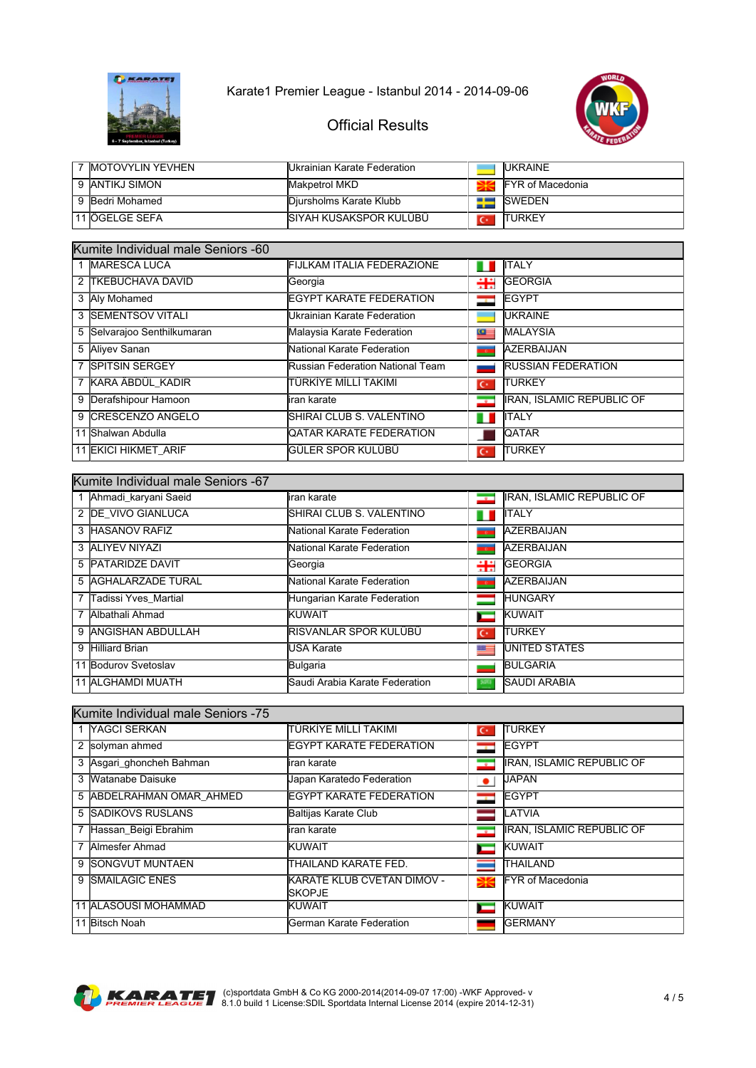



| <b>IMOTOVYLIN YEVHEN</b> | IUkrainian Karate Federation. |                | <b>IUKRAINE</b>          |
|--------------------------|-------------------------------|----------------|--------------------------|
| 9 IANTIKJ SIMON          | <b>IMakpetrol MKD</b>         |                | <b>IFYR of Macedonia</b> |
| 9 Bedri Mohamed          | Diursholms Karate Klubb       | $\blacksquare$ | <b>ISWEDEN</b>           |
| 11 ÖGELGE SEFA           | ISIYAH KUSAKSPOR KULÜBÜ       |                | <b>TURKEY</b>            |

| Kumite Individual male Seniors -60 |                             |                                   |                    |                                  |
|------------------------------------|-----------------------------|-----------------------------------|--------------------|----------------------------------|
|                                    | <b>MARESCA LUCA</b>         | <b>FIJLKAM ITALIA FEDERAZIONE</b> | ш                  | <b>ITALY</b>                     |
|                                    | 2 TKEBUCHAVA DAVID          | Georgia                           | ÷÷                 | <b>GEORGIA</b>                   |
|                                    | 3 Aly Mohamed               | <b>EGYPT KARATE FEDERATION</b>    | <b>The Control</b> | <b>EGYPT</b>                     |
|                                    | 3 SEMENTSOV VITALI          | Ukrainian Karate Federation       |                    | <b>IUKRAINE</b>                  |
|                                    | 5 Selvarajoo Senthilkumaran | Malaysia Karate Federation        | ≃                  | <b>MALAYSIA</b>                  |
|                                    | 5 Aliyev Sanan              | National Karate Federation        | <b>ALC UNI</b>     | <b>AZERBAIJAN</b>                |
|                                    | 7 SPITSIN SERGEY            | Russian Federation National Team  |                    | <b>RUSSIAN FEDERATION</b>        |
|                                    | 7 KARA ÄBDÜL KADIR          | İTÜRKİYE MİLLİ TAKIMI             | $\mathbf{C}^*$     | <b>TURKEY</b>                    |
|                                    | 9 Derafshipour Hamoon       | liran karate                      | ⊸                  | <b>IRAN, ISLAMIC REPUBLIC OF</b> |
|                                    | 9 CRESCENZO ANGELO          | ISHIRAI CLUB S. VALENTINO         | ш                  | <b>ITALY</b>                     |
|                                    | 11 Shalwan Abdulla          | <b>QATAR KARATE FEDERATION</b>    |                    | <b>QATAR</b>                     |
|                                    | 11 EKICI HIKMET ARIF        | İGÜLER SPOR KULÜBÜ                | $\mathbf{C}^*$     | <b>TURKEY</b>                    |

| Kumite Individual male Seniors -67 |                        |                                     |                          |                                  |
|------------------------------------|------------------------|-------------------------------------|--------------------------|----------------------------------|
|                                    | 1 Ahmadi_karyani Saeid | liran karate                        | $\overline{\phantom{a}}$ | <b>IRAN, ISLAMIC REPUBLIC OF</b> |
|                                    | 2 IDE VIVO GIANLUCA    | ISHIRAI CLUB S. VALENTINO           | ш                        | <b>I</b> ITALY                   |
|                                    | 3 HASANOV RAFIZ        | <b>I</b> National Karate Federation |                          | <b>AZERBAIJAN</b>                |
|                                    | 3 ALIYEV NIYAZI        | <b>I</b> National Karate Federation |                          | <b>AZERBAIJAN</b>                |
|                                    | 5 PATARIDZE DAVIT      | lGeorgia                            | ₩                        | <b>GEORGIA</b>                   |
|                                    | 5 AGHALARZADE TURAL    | National Karate Federation          | <b>TO</b>                | AZERBAIJAN                       |
|                                    | 7 Tadissi Yves Martial | Hungarian Karate Federation         |                          | <b>HUNGARY</b>                   |
|                                    | 7 Albathali Ahmad      | KUWAIT                              | −                        | <b>KUWAIT</b>                    |
|                                    | 9 ANGISHAN ABDULLAH    | İRISVANLAR SPOR KULÜBÜ              | $\overline{C}$           | <b>ITURKEY</b>                   |
| 9                                  | <b>Hilliard Brian</b>  | USA Karate                          | 또                        | <b>UNITED STATES</b>             |
|                                    | 11 Bodurov Svetoslav   | Bulgaria                            |                          | <b>BULGARIA</b>                  |
|                                    | 11 ALGHAMDI MUATH      | Saudi Arabia Karate Federation      |                          | <b>SAUDI ARABIA</b>              |

| Kumite Individual male Seniors -75 |                          |                                              |                          |                                  |
|------------------------------------|--------------------------|----------------------------------------------|--------------------------|----------------------------------|
|                                    | 1 <b>YAGCI SERKAN</b>    | İTÜRKİYE MİLLİ TAKIMI                        | $\mathbf{C}^*$           | <b>TURKEY</b>                    |
|                                    | 2 solyman ahmed          | <b>IEGYPT KARATE FEDERATION</b>              | $\overline{\phantom{a}}$ | <b>EGYPT</b>                     |
|                                    | 3 Asgari_ghoncheh Bahman | liran karate                                 |                          | <b>IRAN, ISLAMIC REPUBLIC OF</b> |
|                                    | 3 Watanabe Daisuke       | Japan Karatedo Federation                    | $\bullet$                | <b>UAPAN</b>                     |
|                                    | 5 ABDELRAHMAN OMAR AHMED | <b>IEGYPT KARATE FEDERATION</b>              | $\mathbf{r}$             | <b>IEGYPT</b>                    |
|                                    | 5 SADIKOVS RUSLANS       | Baltijas Karate Club                         |                          | <b>LATVIA</b>                    |
| 7                                  | Hassan_Beigi Ebrahim     | liran karate                                 | $\overline{\phantom{a}}$ | <b>IRAN, ISLAMIC REPUBLIC OF</b> |
| 7                                  | Almesfer Ahmad           | <b>KUWAIT</b>                                | −                        | KUWAIT                           |
|                                    | 9 ISONGVUT MUNTAEN       | ITHAILAND KARATE FED.                        |                          | <b>THAILAND</b>                  |
|                                    | 9 SMAILAGIC ENES         | KARATE KLUB CVETAN DIMOV -<br><b>ISKOPJE</b> | ₩                        | <b>IFYR of Macedonia</b>         |
|                                    | 11 ALASOUSI MOHAMMAD     | <b>KUWAIT</b>                                | −                        | KUWAIT                           |
|                                    | 11 Bitsch Noah           | lGerman Karate Federation                    |                          | <b>GERMANY</b>                   |